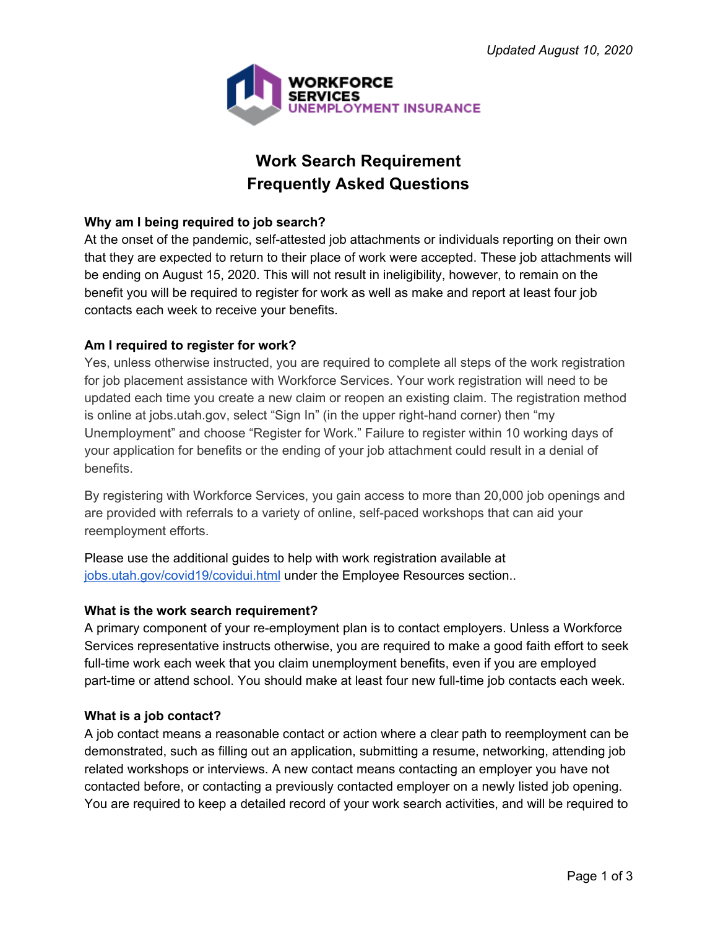

# **Work Search Requirement Frequently Asked Questions**

## **Why am I being required to job search?**

At the onset of the pandemic, self-attested job attachments or individuals reporting on their own that they are expected to return to their place of work were accepted. These job attachments will be ending on August 15, 2020. This will not result in ineligibility, however, to remain on the benefit you will be required to register for work as well as make and report at least four job contacts each week to receive your benefits.

## **Am I required to register for work?**

Yes, unless otherwise instructed, you are required to complete all steps of the work registration for job placement assistance with Workforce Services. Your work registration will need to be updated each time you create a new claim or reopen an existing claim. The registration method is online at jobs.utah.gov, select "Sign In" (in the upper right-hand corner) then "my Unemployment" and choose "Register for Work." Failure to register within 10 working days of your application for benefits or the ending of your job attachment could result in a denial of benefits.

By registering with Workforce Services, you gain access to more than 20,000 job openings and are provided with referrals to a variety of online, self-paced workshops that can aid your reemployment efforts.

Please use the additional guides to help with work registration available at [jobs.utah.gov/covid19/covidui.html](https://jobs.utah.gov/covid19/covidui.html) under the Employee Resources section..

## **What is the work search requirement?**

A primary component of your re-employment plan is to contact employers. Unless a Workforce Services representative instructs otherwise, you are required to make a good faith effort to seek full-time work each week that you claim unemployment benefits, even if you are employed part-time or attend school. You should make at least four new full-time job contacts each week.

### **What is a job contact?**

A job contact means a reasonable contact or action where a clear path to reemployment can be demonstrated, such as filling out an application, submitting a resume, networking, attending job related workshops or interviews. A new contact means contacting an employer you have not contacted before, or contacting a previously contacted employer on a newly listed job opening. You are required to keep a detailed record of your work search activities, and will be required to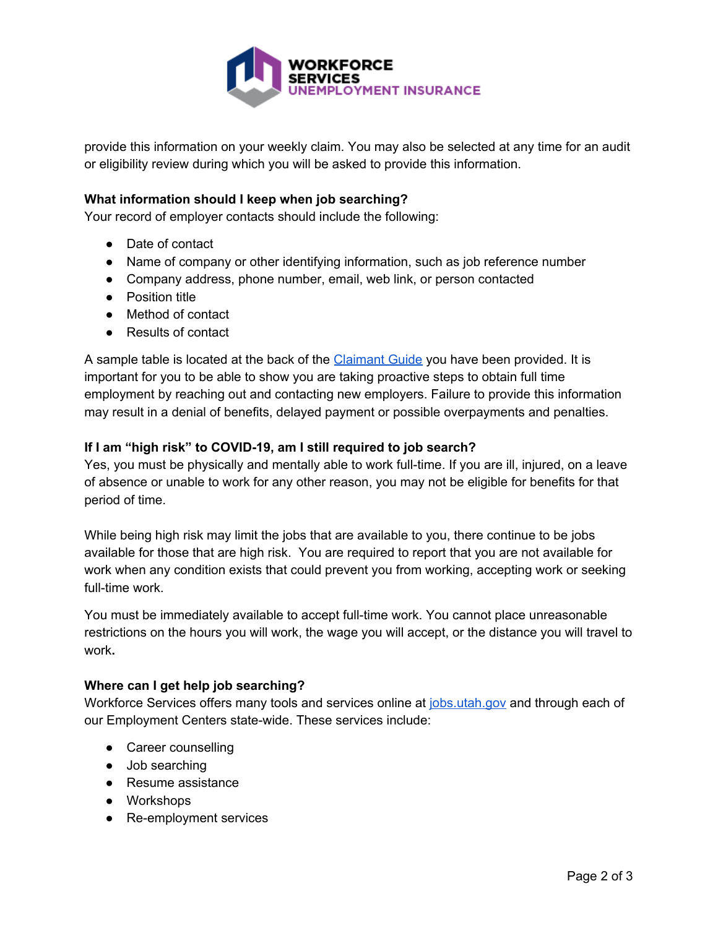

provide this information on your weekly claim. You may also be selected at any time for an audit or eligibility review during which you will be asked to provide this information.

### **What information should I keep when job searching?**

Your record of employer contacts should include the following:

- Date of contact
- Name of company or other identifying information, such as job reference number
- Company address, phone number, email, web link, or person contacted
- Position title
- Method of contact
- Results of contact

A sample table is located at the back of the [Claimant](https://jobs.utah.gov/ui/jobseeker/claimguide.html) Guide you have been provided. It is important for you to be able to show you are taking proactive steps to obtain full time employment by reaching out and contacting new employers. Failure to provide this information may result in a denial of benefits, delayed payment or possible overpayments and penalties.

### **If I am "high risk" to COVID-19, am I still required to job search?**

Yes, you must be physically and mentally able to work full-time. If you are ill, injured, on a leave of absence or unable to work for any other reason, you may not be eligible for benefits for that period of time.

While being high risk may limit the jobs that are available to you, there continue to be jobs available for those that are high risk. You are required to report that you are not available for work when any condition exists that could prevent you from working, accepting work or seeking full-time work.

You must be immediately available to accept full-time work. You cannot place unreasonable restrictions on the hours you will work, the wage you will accept, or the distance you will travel to work**.**

### **Where can I get help job searching?**

Workforce Services offers many tools and services online at [jobs.utah.gov](https://jobs.utah.gov/) and through each of our Employment Centers state-wide. These services include:

- Career counselling
- Job searching
- Resume assistance
- Workshops
- Re-employment services